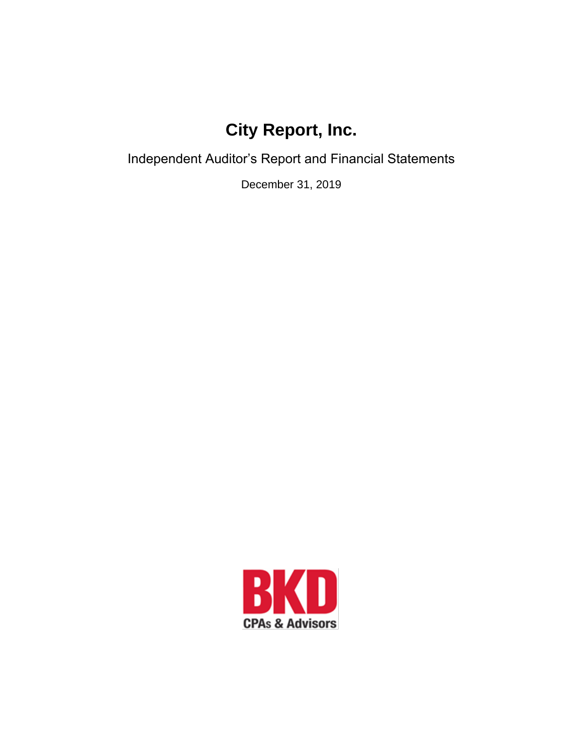# **City Report, Inc.**

Independent Auditor's Report and Financial Statements

December 31, 2019

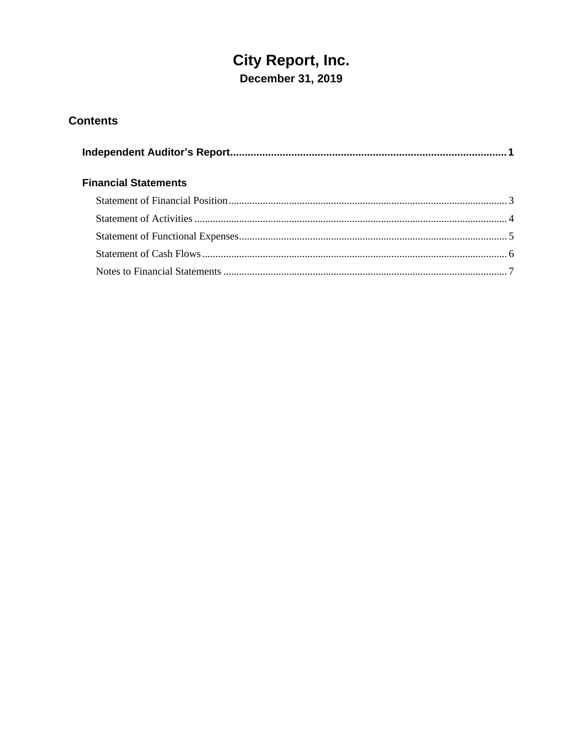# **City Report, Inc. December 31, 2019**

### **Contents**

| <b>Financial Statements</b> |  |
|-----------------------------|--|
|                             |  |
|                             |  |
|                             |  |
|                             |  |
|                             |  |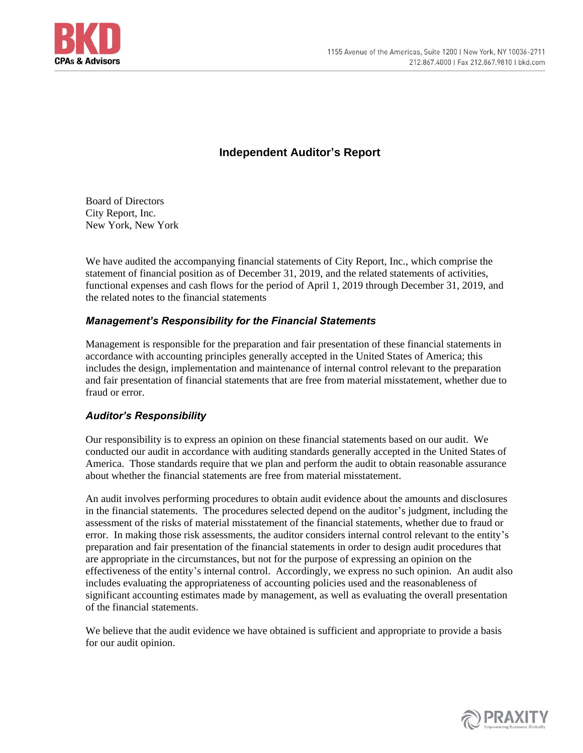

### **Independent Auditor's Report**

<span id="page-2-0"></span>Board of Directors City Report, Inc. New York, New York

We have audited the accompanying financial statements of City Report, Inc., which comprise the statement of financial position as of December 31, 2019, and the related statements of activities, functional expenses and cash flows for the period of April 1, 2019 through December 31, 2019, and the related notes to the financial statements

### *Management's Responsibility for the Financial Statements*

Management is responsible for the preparation and fair presentation of these financial statements in accordance with accounting principles generally accepted in the United States of America; this includes the design, implementation and maintenance of internal control relevant to the preparation and fair presentation of financial statements that are free from material misstatement, whether due to fraud or error.

#### *Auditor's Responsibility*

Our responsibility is to express an opinion on these financial statements based on our audit. We conducted our audit in accordance with auditing standards generally accepted in the United States of America. Those standards require that we plan and perform the audit to obtain reasonable assurance about whether the financial statements are free from material misstatement.

An audit involves performing procedures to obtain audit evidence about the amounts and disclosures in the financial statements. The procedures selected depend on the auditor's judgment, including the assessment of the risks of material misstatement of the financial statements, whether due to fraud or error. In making those risk assessments, the auditor considers internal control relevant to the entity's preparation and fair presentation of the financial statements in order to design audit procedures that are appropriate in the circumstances, but not for the purpose of expressing an opinion on the effectiveness of the entity's internal control. Accordingly, we express no such opinion. An audit also includes evaluating the appropriateness of accounting policies used and the reasonableness of significant accounting estimates made by management, as well as evaluating the overall presentation of the financial statements.

We believe that the audit evidence we have obtained is sufficient and appropriate to provide a basis for our audit opinion.

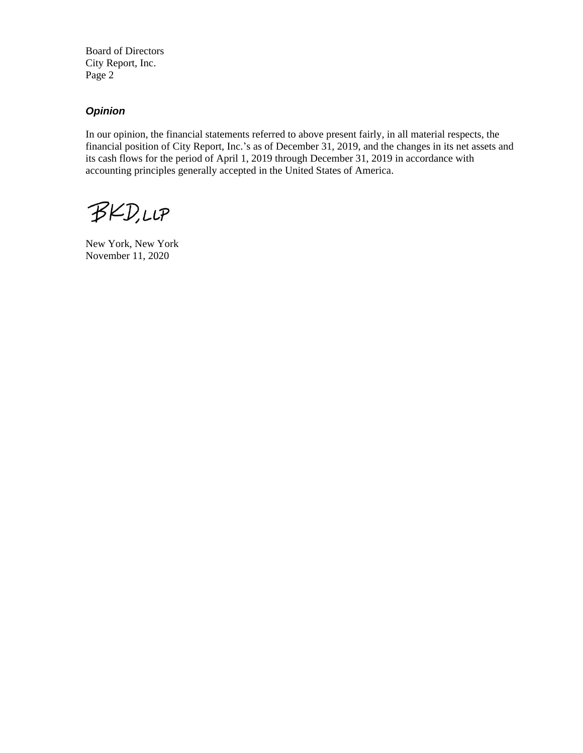Board of Directors City Report, Inc. Page 2

#### *Opinion*

In our opinion, the financial statements referred to above present fairly, in all material respects, the financial position of City Report, Inc.'s as of December 31, 2019, and the changes in its net assets and its cash flows for the period of April 1, 2019 through December 31, 2019 in accordance with accounting principles generally accepted in the United States of America.

**BKD,LLP** 

New York, New York November 11, 2020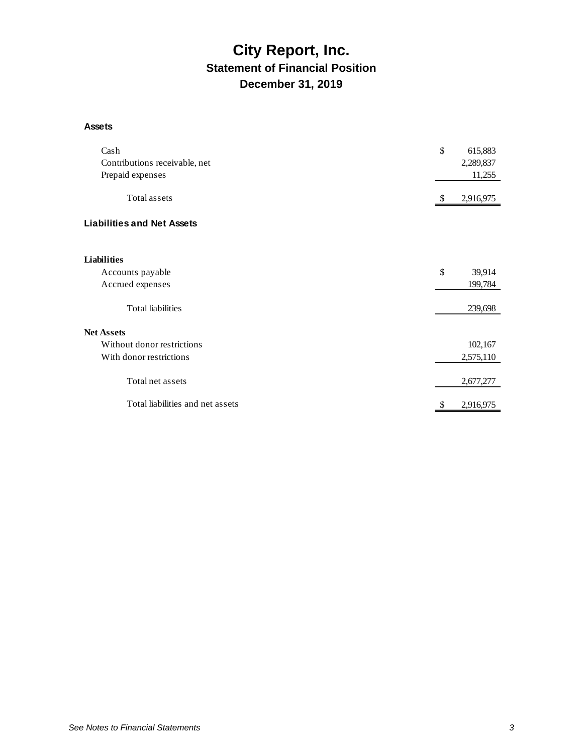# **City Report, Inc. Statement of Financial Position December 31, 2019**

#### <span id="page-4-0"></span>**Assets**

| Cash<br>Contributions receivable, net<br>Prepaid expenses | \$ | 615,883<br>2,289,837<br>11,255 |
|-----------------------------------------------------------|----|--------------------------------|
| Total assets                                              |    | 2,916,975                      |
| <b>Liabilities and Net Assets</b>                         |    |                                |
| <b>Liabilities</b>                                        |    |                                |
| Accounts payable                                          | \$ | 39,914                         |
| Accrued expenses                                          |    | 199,784                        |
| <b>Total liabilities</b>                                  |    | 239,698                        |
| <b>Net Assets</b>                                         |    |                                |
| Without donor restrictions                                |    | 102,167                        |
| With donor restrictions                                   |    | 2,575,110                      |
| Total net assets                                          |    | 2,677,277                      |
| Total liabilities and net assets                          | J  | 2,916,975                      |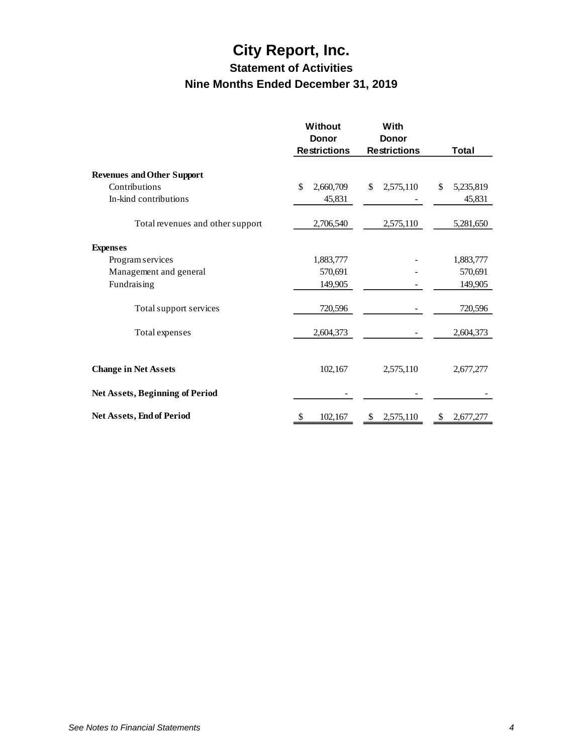# **City Report, Inc. Statement of Activities Nine Months Ended December 31, 2019**

<span id="page-5-0"></span>

|                                        | Without<br><b>Donor</b> | With<br><b>Donor</b> |                 |
|----------------------------------------|-------------------------|----------------------|-----------------|
|                                        | <b>Restrictions</b>     | <b>Restrictions</b>  | Total           |
| <b>Revenues and Other Support</b>      |                         |                      |                 |
| Contributions                          | \$<br>2,660,709         | 2,575,110<br>\$      | 5,235,819<br>\$ |
| In-kind contributions                  | 45,831                  |                      | 45,831          |
| Total revenues and other support       | 2,706,540               | 2,575,110            | 5,281,650       |
| <b>Expenses</b>                        |                         |                      |                 |
| Program services                       | 1,883,777               |                      | 1,883,777       |
| Management and general                 | 570,691                 |                      | 570,691         |
| Fundraising                            | 149,905                 |                      | 149,905         |
| Total support services                 | 720,596                 |                      | 720,596         |
| Total expenses                         | 2,604,373               |                      | 2,604,373       |
| <b>Change in Net Assets</b>            | 102,167                 | 2,575,110            | 2,677,277       |
| <b>Net Assets, Beginning of Period</b> |                         |                      |                 |
| Net Assets, End of Period              | 102,167                 | 2,575,110            | 2,677,277       |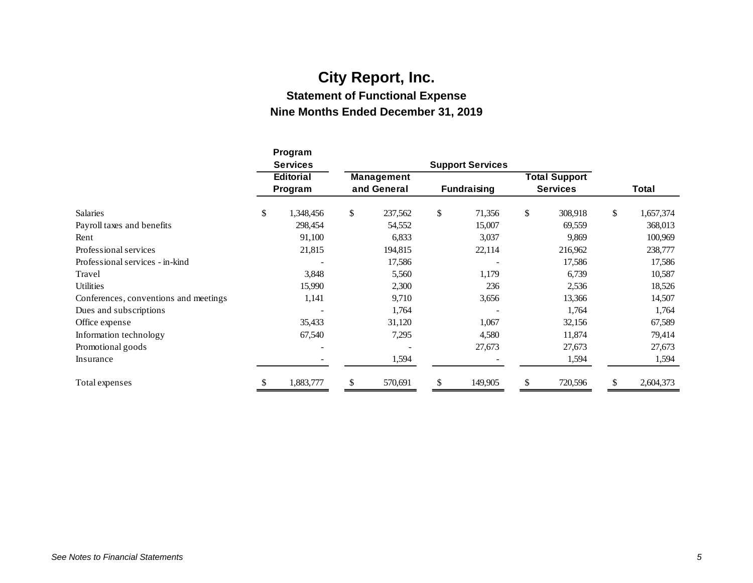# **City Report, Inc. Statement of Functional Expense Nine Months Ended December 31, 2019**

<span id="page-6-0"></span>

|                                       |                             | Program<br><b>Services</b> |                                  |         | <b>Support Services</b>                                       |    |         |    |           |
|---------------------------------------|-----------------------------|----------------------------|----------------------------------|---------|---------------------------------------------------------------|----|---------|----|-----------|
|                                       | <b>Editorial</b><br>Program |                            | <b>Management</b><br>and General |         | <b>Total Support</b><br><b>Fundraising</b><br><b>Services</b> |    | Total   |    |           |
| Salaries                              | \$                          | 1,348,456                  | \$                               | 237,562 | \$<br>71,356                                                  | \$ | 308,918 | \$ | 1,657,374 |
| Payroll taxes and benefits            |                             | 298,454                    |                                  | 54,552  | 15,007                                                        |    | 69,559  |    | 368,013   |
| Rent                                  |                             | 91,100                     |                                  | 6,833   | 3,037                                                         |    | 9,869   |    | 100,969   |
| Professional services                 |                             | 21,815                     |                                  | 194,815 | 22,114                                                        |    | 216,962 |    | 238,777   |
| Professional services - in-kind       |                             |                            |                                  | 17,586  |                                                               |    | 17,586  |    | 17,586    |
| Travel                                |                             | 3,848                      |                                  | 5,560   | 1,179                                                         |    | 6,739   |    | 10,587    |
| Utilities                             |                             | 15,990                     |                                  | 2,300   | 236                                                           |    | 2,536   |    | 18,526    |
| Conferences, conventions and meetings |                             | 1,141                      |                                  | 9,710   | 3,656                                                         |    | 13,366  |    | 14,507    |
| Dues and subscriptions                |                             |                            |                                  | 1,764   |                                                               |    | 1,764   |    | 1,764     |
| Office expense                        |                             | 35,433                     |                                  | 31,120  | 1,067                                                         |    | 32,156  |    | 67,589    |
| Information technology                |                             | 67,540                     |                                  | 7,295   | 4,580                                                         |    | 11,874  |    | 79,414    |
| Promotional goods                     |                             |                            |                                  |         | 27,673                                                        |    | 27,673  |    | 27,673    |
| Insurance                             |                             |                            |                                  | 1,594   |                                                               |    | 1,594   |    | 1,594     |
| Total expenses                        | S                           | 1,883,777                  | \$                               | 570,691 | \$<br>149,905                                                 | \$ | 720,596 | S  | 2,604,373 |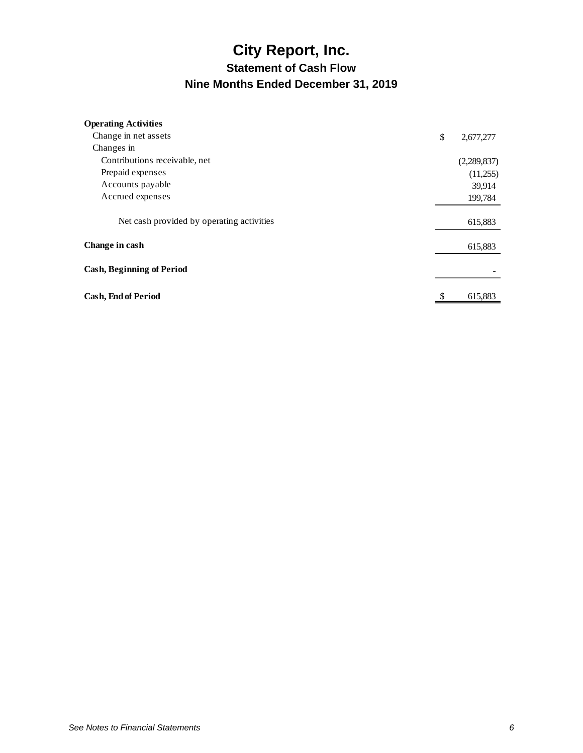# **City Report, Inc. Statement of Cash Flow Nine Months Ended December 31, 2019**

<span id="page-7-0"></span>

| <b>Operating Activities</b>               |                 |
|-------------------------------------------|-----------------|
| Change in net assets                      | \$<br>2,677,277 |
| Changes in                                |                 |
| Contributions receivable, net             | (2,289,837)     |
| Prepaid expenses                          | (11,255)        |
| Accounts payable                          | 39,914          |
| Accrued expenses                          | 199,784         |
| Net cash provided by operating activities | 615,883         |
| Change in cash                            | 615,883         |
| <b>Cash, Beginning of Period</b>          |                 |
| <b>Cash, End of Period</b>                | 615,883         |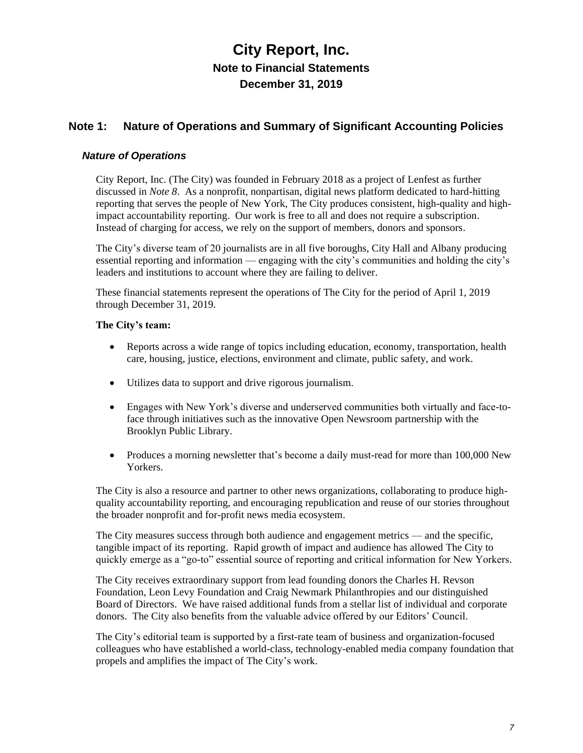### **Note 1: Nature of Operations and Summary of Significant Accounting Policies**

#### <span id="page-8-0"></span>*Nature of Operations*

City Report, Inc. (The City) was founded in February 2018 as a project of Lenfest as further discussed in *Note 8*. As a nonprofit, nonpartisan, digital news platform dedicated to hard-hitting reporting that serves the people of New York, The City produces consistent, high-quality and highimpact accountability reporting. Our work is free to all and does not require a subscription. Instead of charging for access, we rely on the support of members, donors and sponsors.

The City's diverse team of 20 journalists are in all five boroughs, City Hall and Albany producing essential reporting and information — engaging with the city's communities and holding the city's leaders and institutions to account where they are failing to deliver.

These financial statements represent the operations of The City for the period of April 1, 2019 through December 31, 2019.

#### **The City's team:**

- Reports across a wide range of topics including education, economy, transportation, health care, housing, justice, elections, environment and climate, public safety, and work.
- Utilizes data to support and drive rigorous journalism.
- Engages with New York's diverse and underserved communities both virtually and face-toface through initiatives such as the innovative Open Newsroom partnership with the Brooklyn Public Library.
- Produces a morning newsletter that's become a daily must-read for more than 100,000 New Yorkers.

The City is also a resource and partner to other news organizations, collaborating to produce highquality accountability reporting, and encouraging republication and reuse of our stories throughout the broader nonprofit and for-profit news media ecosystem.

The City measures success through both audience and engagement metrics — and the specific, tangible impact of its reporting. Rapid growth of impact and audience has allowed The City to quickly emerge as a "go-to" essential source of reporting and critical information for New Yorkers.

The City receives extraordinary support from lead founding donors the Charles H. Revson Foundation, Leon Levy Foundation and Craig Newmark Philanthropies and our distinguished Board of Directors. We have raised additional funds from a stellar list of individual and corporate donors. The City also benefits from the valuable advice offered by our Editors' Council.

The City's editorial team is supported by a first-rate team of business and organization-focused colleagues who have established a world-class, technology-enabled media company foundation that propels and amplifies the impact of The City's work.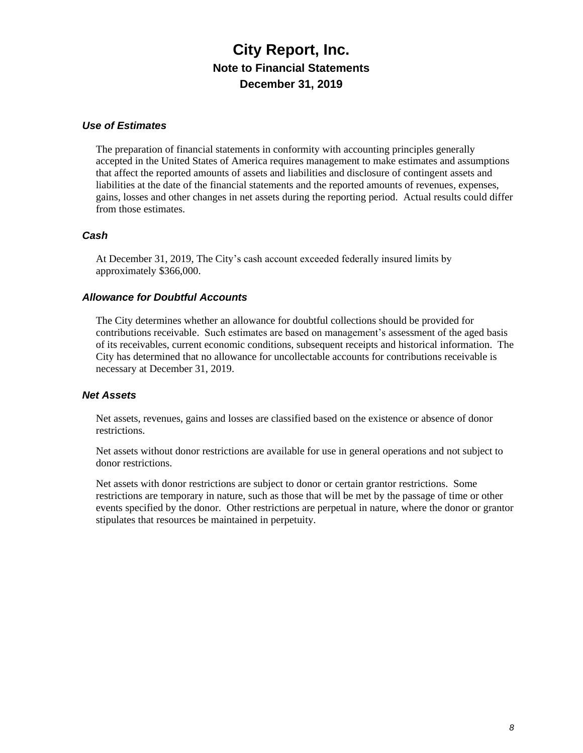#### *Use of Estimates*

The preparation of financial statements in conformity with accounting principles generally accepted in the United States of America requires management to make estimates and assumptions that affect the reported amounts of assets and liabilities and disclosure of contingent assets and liabilities at the date of the financial statements and the reported amounts of revenues, expenses, gains, losses and other changes in net assets during the reporting period. Actual results could differ from those estimates.

#### *Cash*

At December 31, 2019, The City's cash account exceeded federally insured limits by approximately \$366,000.

#### *Allowance for Doubtful Accounts*

The City determines whether an allowance for doubtful collections should be provided for contributions receivable. Such estimates are based on management's assessment of the aged basis of its receivables, current economic conditions, subsequent receipts and historical information. The City has determined that no allowance for uncollectable accounts for contributions receivable is necessary at December 31, 2019.

#### *Net Assets*

Net assets, revenues, gains and losses are classified based on the existence or absence of donor restrictions.

Net assets without donor restrictions are available for use in general operations and not subject to donor restrictions.

Net assets with donor restrictions are subject to donor or certain grantor restrictions. Some restrictions are temporary in nature, such as those that will be met by the passage of time or other events specified by the donor. Other restrictions are perpetual in nature, where the donor or grantor stipulates that resources be maintained in perpetuity.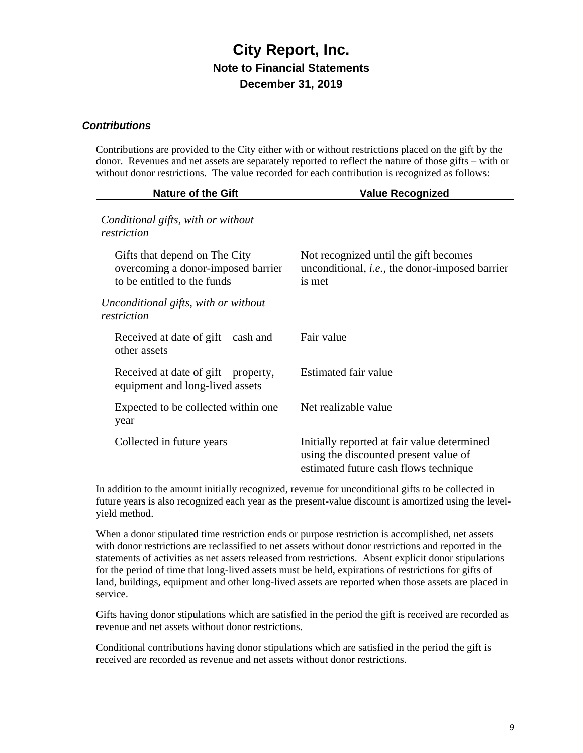#### *Contributions*

Contributions are provided to the City either with or without restrictions placed on the gift by the donor. Revenues and net assets are separately reported to reflect the nature of those gifts – with or without donor restrictions. The value recorded for each contribution is recognized as follows:

| <b>Nature of the Gift</b>                                                                          | <b>Value Recognized</b>                                                                                                       |
|----------------------------------------------------------------------------------------------------|-------------------------------------------------------------------------------------------------------------------------------|
| Conditional gifts, with or without<br>restriction                                                  |                                                                                                                               |
| Gifts that depend on The City<br>overcoming a donor-imposed barrier<br>to be entitled to the funds | Not recognized until the gift becomes<br>unconditional, <i>i.e.</i> , the donor-imposed barrier<br>is met                     |
| Unconditional gifts, with or without<br>restriction                                                |                                                                                                                               |
| Received at date of $g$ ift – cash and<br>other assets                                             | Fair value                                                                                                                    |
| Received at date of $g$ ift – property,<br>equipment and long-lived assets                         | <b>Estimated fair value</b>                                                                                                   |
| Expected to be collected within one<br>year                                                        | Net realizable value                                                                                                          |
| Collected in future years                                                                          | Initially reported at fair value determined<br>using the discounted present value of<br>estimated future cash flows technique |

In addition to the amount initially recognized, revenue for unconditional gifts to be collected in future years is also recognized each year as the present-value discount is amortized using the levelyield method.

When a donor stipulated time restriction ends or purpose restriction is accomplished, net assets with donor restrictions are reclassified to net assets without donor restrictions and reported in the statements of activities as net assets released from restrictions. Absent explicit donor stipulations for the period of time that long-lived assets must be held, expirations of restrictions for gifts of land, buildings, equipment and other long-lived assets are reported when those assets are placed in service.

Gifts having donor stipulations which are satisfied in the period the gift is received are recorded as revenue and net assets without donor restrictions.

Conditional contributions having donor stipulations which are satisfied in the period the gift is received are recorded as revenue and net assets without donor restrictions.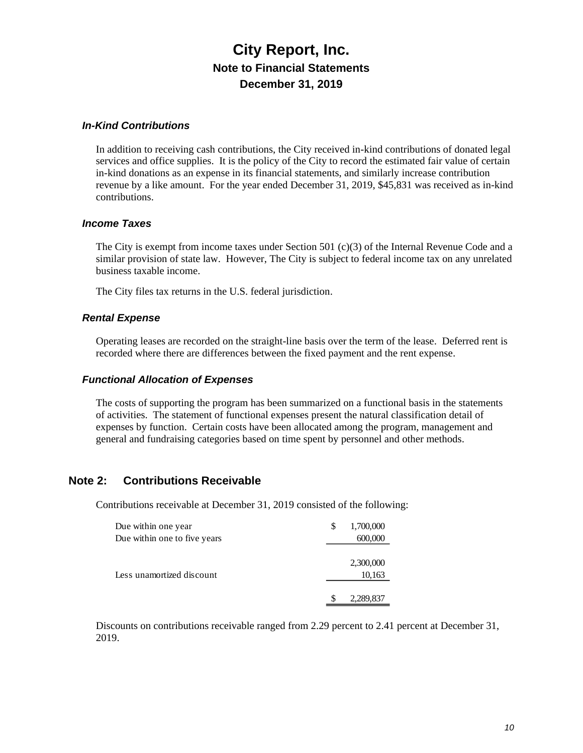#### *In-Kind Contributions*

In addition to receiving cash contributions, the City received in-kind contributions of donated legal services and office supplies. It is the policy of the City to record the estimated fair value of certain in-kind donations as an expense in its financial statements, and similarly increase contribution revenue by a like amount. For the year ended December 31, 2019, \$45,831 was received as in-kind contributions.

#### *Income Taxes*

The City is exempt from income taxes under Section 501 (c)(3) of the Internal Revenue Code and a similar provision of state law. However, The City is subject to federal income tax on any unrelated business taxable income.

The City files tax returns in the U.S. federal jurisdiction.

#### *Rental Expense*

Operating leases are recorded on the straight-line basis over the term of the lease. Deferred rent is recorded where there are differences between the fixed payment and the rent expense.

#### *Functional Allocation of Expenses*

The costs of supporting the program has been summarized on a functional basis in the statements of activities. The statement of functional expenses present the natural classification detail of expenses by function. Certain costs have been allocated among the program, management and general and fundraising categories based on time spent by personnel and other methods.

#### **Note 2: Contributions Receivable**

Contributions receivable at December 31, 2019 consisted of the following:

| Due within one year          | \$<br>1,700,000 |
|------------------------------|-----------------|
| Due within one to five years | 600,000         |
|                              |                 |
|                              | 2,300,000       |
| Less unamortized discount    | 10,163          |
|                              |                 |
|                              | 2,289,837       |

Discounts on contributions receivable ranged from 2.29 percent to 2.41 percent at December 31, 2019.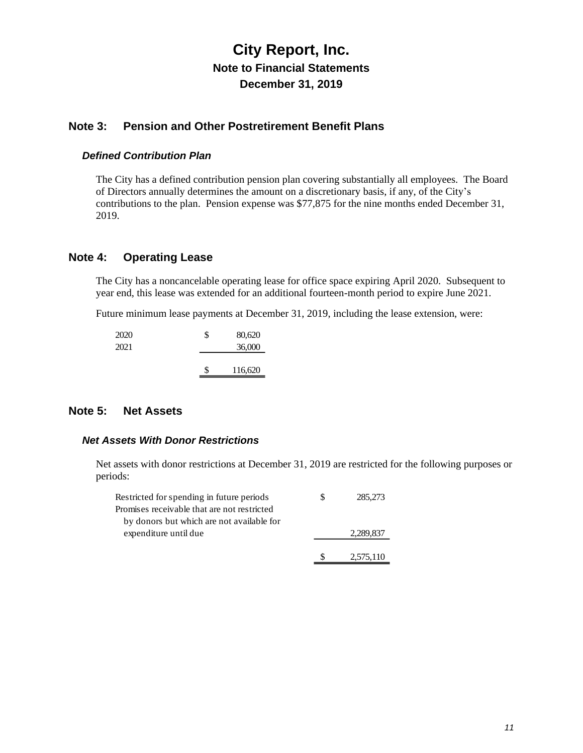### **Note 3: Pension and Other Postretirement Benefit Plans**

#### *Defined Contribution Plan*

The City has a defined contribution pension plan covering substantially all employees. The Board of Directors annually determines the amount on a discretionary basis, if any, of the City's contributions to the plan. Pension expense was \$77,875 for the nine months ended December 31, 2019.

### **Note 4: Operating Lease**

The City has a noncancelable operating lease for office space expiring April 2020. Subsequent to year end, this lease was extended for an additional fourteen-month period to expire June 2021.

Future minimum lease payments at December 31, 2019, including the lease extension, were:

| 2020 | \$ | 80,620  |
|------|----|---------|
| 2021 |    | 36,000  |
|      |    |         |
|      | S  | 116,620 |
|      |    |         |

### **Note 5: Net Assets**

#### *Net Assets With Donor Restrictions*

Net assets with donor restrictions at December 31, 2019 are restricted for the following purposes or periods:

| Restricted for spending in future periods   | Ъ  | 285,273   |
|---------------------------------------------|----|-----------|
| Promises receivable that are not restricted |    |           |
| by donors but which are not available for   |    |           |
| expenditure until due                       |    | 2,289,837 |
|                                             |    |           |
|                                             | S. | 2,575,110 |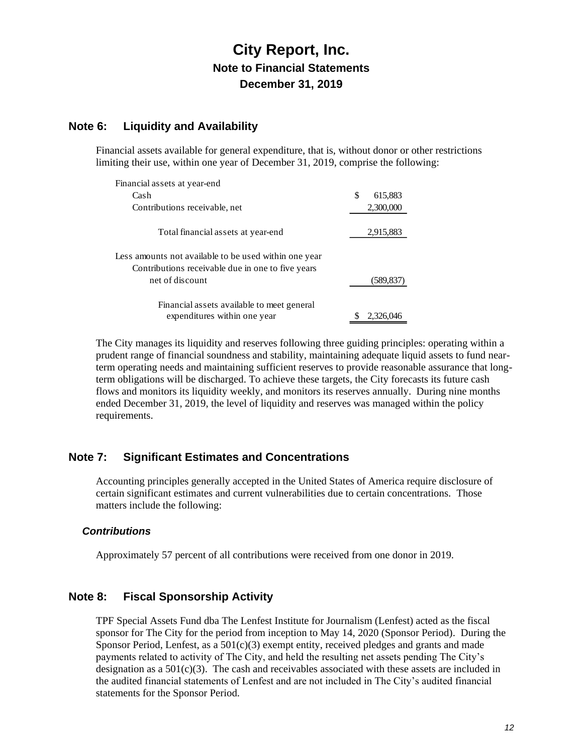#### **Note 6: Liquidity and Availability**

Financial assets available for general expenditure, that is, without donor or other restrictions limiting their use, within one year of December 31, 2019, comprise the following:

| Financial assets at year-end                                                                               |               |
|------------------------------------------------------------------------------------------------------------|---------------|
| Cash                                                                                                       | \$<br>615,883 |
| Contributions receivable, net                                                                              | 2,300,000     |
| Total financial assets at year-end                                                                         | 2,915,883     |
| Less amounts not available to be used within one year<br>Contributions receivable due in one to five years |               |
| net of discount                                                                                            | (589,837      |
| Financial assets available to meet general<br>expenditures within one year                                 | 2.326,046     |

The City manages its liquidity and reserves following three guiding principles: operating within a prudent range of financial soundness and stability, maintaining adequate liquid assets to fund nearterm operating needs and maintaining sufficient reserves to provide reasonable assurance that longterm obligations will be discharged. To achieve these targets, the City forecasts its future cash flows and monitors its liquidity weekly, and monitors its reserves annually. During nine months ended December 31, 2019, the level of liquidity and reserves was managed within the policy requirements.

### **Note 7: Significant Estimates and Concentrations**

Accounting principles generally accepted in the United States of America require disclosure of certain significant estimates and current vulnerabilities due to certain concentrations. Those matters include the following:

### *Contributions*

Approximately 57 percent of all contributions were received from one donor in 2019.

### **Note 8: Fiscal Sponsorship Activity**

TPF Special Assets Fund dba The Lenfest Institute for Journalism (Lenfest) acted as the fiscal sponsor for The City for the period from inception to May 14, 2020 (Sponsor Period). During the Sponsor Period, Lenfest, as a  $501(c)(3)$  exempt entity, received pledges and grants and made payments related to activity of The City, and held the resulting net assets pending The City's designation as a  $501(c)(3)$ . The cash and receivables associated with these assets are included in the audited financial statements of Lenfest and are not included in The City's audited financial statements for the Sponsor Period.